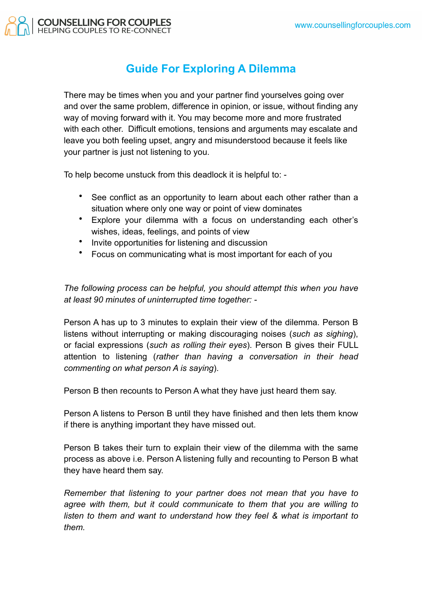

## **Guide For Exploring A Dilemma**

There may be times when you and your partner find yourselves going over and over the same problem, difference in opinion, or issue, without finding any way of moving forward with it. You may become more and more frustrated with each other. Difficult emotions, tensions and arguments may escalate and leave you both feeling upset, angry and misunderstood because it feels like your partner is just not listening to you.

To help become unstuck from this deadlock it is helpful to: -

- See conflict as an opportunity to learn about each other rather than a situation where only one way or point of view dominates
- Explore your dilemma with a focus on understanding each other's wishes, ideas, feelings, and points of view
- Invite opportunities for listening and discussion
- Focus on communicating what is most important for each of you

*The following process can be helpful, you should attempt this when you have at least 90 minutes of uninterrupted time together: -*

Person A has up to 3 minutes to explain their view of the dilemma. Person B listens without interrupting or making discouraging noises (*such as sighing*), or facial expressions (*such as rolling their eyes*). Person B gives their FULL attention to listening (*rather than having a conversation in their head commenting on what person A is saying*).

Person B then recounts to Person A what they have just heard them say.

Person A listens to Person B until they have finished and then lets them know if there is anything important they have missed out.

Person B takes their turn to explain their view of the dilemma with the same process as above i.e. Person A listening fully and recounting to Person B what they have heard them say.

*Remember that listening to your partner does not mean that you have to agree with them, but it could communicate to them that you are willing to listen to them and want to understand how they feel & what is important to them.*